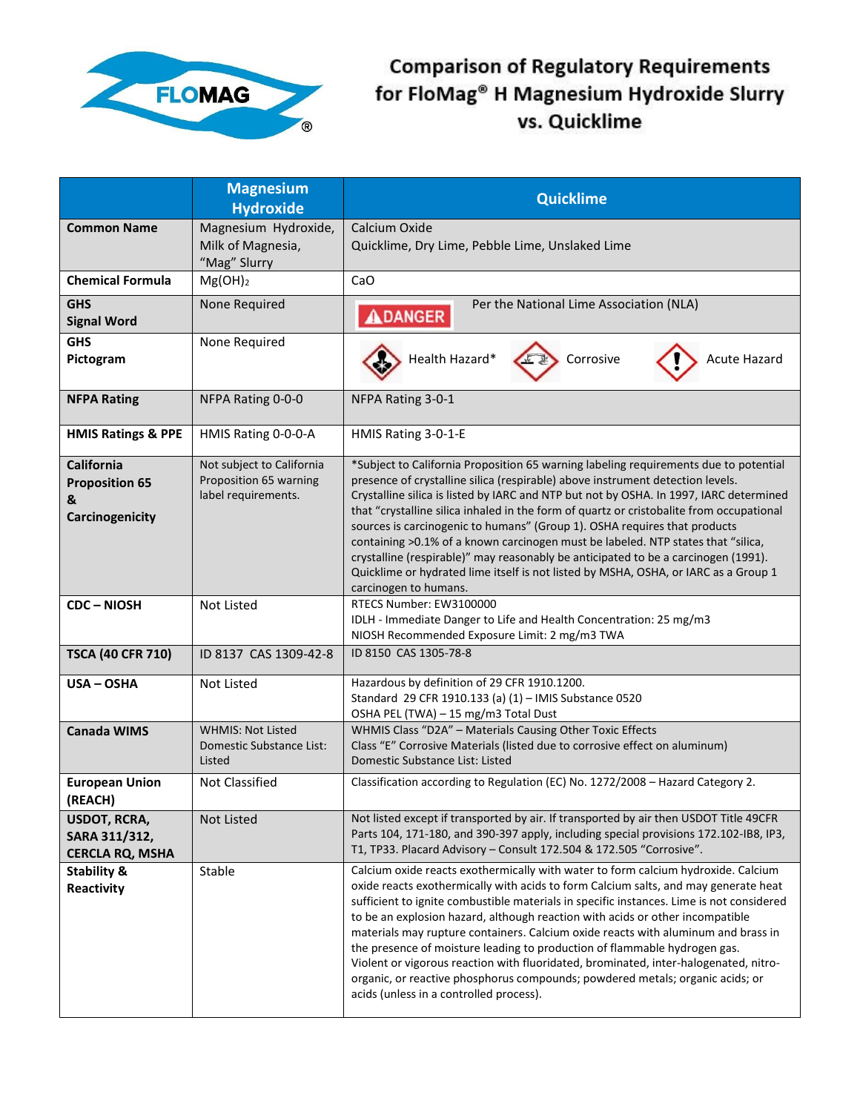

## **Comparison of Regulatory Requirements** for FloMag® H Magnesium Hydroxide Slurry vs. Quicklime

|                                                                    | <b>Magnesium</b><br><b>Hydroxide</b>                                       | <b>Quicklime</b>                                                                                                                                                                                                                                                                                                                                                                                                                                                                                                                                                                                                                                                                                                                            |
|--------------------------------------------------------------------|----------------------------------------------------------------------------|---------------------------------------------------------------------------------------------------------------------------------------------------------------------------------------------------------------------------------------------------------------------------------------------------------------------------------------------------------------------------------------------------------------------------------------------------------------------------------------------------------------------------------------------------------------------------------------------------------------------------------------------------------------------------------------------------------------------------------------------|
| <b>Common Name</b>                                                 | Magnesium Hydroxide,<br>Milk of Magnesia,<br>"Mag" Slurry                  | Calcium Oxide<br>Quicklime, Dry Lime, Pebble Lime, Unslaked Lime                                                                                                                                                                                                                                                                                                                                                                                                                                                                                                                                                                                                                                                                            |
| <b>Chemical Formula</b>                                            | $Mg(OH)_2$                                                                 | CaO                                                                                                                                                                                                                                                                                                                                                                                                                                                                                                                                                                                                                                                                                                                                         |
| <b>GHS</b><br><b>Signal Word</b>                                   | None Required                                                              | Per the National Lime Association (NLA)<br><b>ADANGER</b>                                                                                                                                                                                                                                                                                                                                                                                                                                                                                                                                                                                                                                                                                   |
| <b>GHS</b><br>Pictogram                                            | None Required                                                              | Health Hazard*<br>Corrosive<br><b>Acute Hazard</b>                                                                                                                                                                                                                                                                                                                                                                                                                                                                                                                                                                                                                                                                                          |
| <b>NFPA Rating</b>                                                 | NFPA Rating 0-0-0                                                          | NFPA Rating 3-0-1                                                                                                                                                                                                                                                                                                                                                                                                                                                                                                                                                                                                                                                                                                                           |
| <b>HMIS Ratings &amp; PPE</b>                                      | HMIS Rating 0-0-0-A                                                        | HMIS Rating 3-0-1-E                                                                                                                                                                                                                                                                                                                                                                                                                                                                                                                                                                                                                                                                                                                         |
| <b>California</b><br><b>Proposition 65</b><br>&<br>Carcinogenicity | Not subject to California<br>Proposition 65 warning<br>label requirements. | *Subject to California Proposition 65 warning labeling requirements due to potential<br>presence of crystalline silica (respirable) above instrument detection levels.<br>Crystalline silica is listed by IARC and NTP but not by OSHA. In 1997, IARC determined<br>that "crystalline silica inhaled in the form of quartz or cristobalite from occupational<br>sources is carcinogenic to humans" (Group 1). OSHA requires that products<br>containing >0.1% of a known carcinogen must be labeled. NTP states that "silica,<br>crystalline (respirable)" may reasonably be anticipated to be a carcinogen (1991).<br>Quicklime or hydrated lime itself is not listed by MSHA, OSHA, or IARC as a Group 1<br>carcinogen to humans.         |
| <b>CDC-NIOSH</b>                                                   | Not Listed                                                                 | RTECS Number: EW3100000<br>IDLH - Immediate Danger to Life and Health Concentration: 25 mg/m3<br>NIOSH Recommended Exposure Limit: 2 mg/m3 TWA                                                                                                                                                                                                                                                                                                                                                                                                                                                                                                                                                                                              |
| <b>TSCA (40 CFR 710)</b>                                           | ID 8137 CAS 1309-42-8                                                      | ID 8150 CAS 1305-78-8                                                                                                                                                                                                                                                                                                                                                                                                                                                                                                                                                                                                                                                                                                                       |
| USA - OSHA                                                         | <b>Not Listed</b>                                                          | Hazardous by definition of 29 CFR 1910.1200.<br>Standard 29 CFR 1910.133 (a) (1) - IMIS Substance 0520<br>OSHA PEL (TWA) - 15 mg/m3 Total Dust                                                                                                                                                                                                                                                                                                                                                                                                                                                                                                                                                                                              |
| <b>Canada WIMS</b>                                                 | <b>WHMIS: Not Listed</b><br>Domestic Substance List:<br>Listed             | WHMIS Class "D2A" - Materials Causing Other Toxic Effects<br>Class "E" Corrosive Materials (listed due to corrosive effect on aluminum)<br>Domestic Substance List: Listed                                                                                                                                                                                                                                                                                                                                                                                                                                                                                                                                                                  |
| <b>European Union</b><br>(REACH)                                   | Not Classified                                                             | Classification according to Regulation (EC) No. 1272/2008 - Hazard Category 2.                                                                                                                                                                                                                                                                                                                                                                                                                                                                                                                                                                                                                                                              |
| <b>USDOT, RCRA,</b><br>SARA 311/312,<br><b>CERCLA RQ, MSHA</b>     | Not Listed                                                                 | Not listed except if transported by air. If transported by air then USDOT Title 49CFR<br>Parts 104, 171-180, and 390-397 apply, including special provisions 172.102-IB8, IP3,<br>T1, TP33. Placard Advisory - Consult 172.504 & 172.505 "Corrosive".                                                                                                                                                                                                                                                                                                                                                                                                                                                                                       |
| <b>Stability &amp;</b><br>Reactivity                               | Stable                                                                     | Calcium oxide reacts exothermically with water to form calcium hydroxide. Calcium<br>oxide reacts exothermically with acids to form Calcium salts, and may generate heat<br>sufficient to ignite combustible materials in specific instances. Lime is not considered<br>to be an explosion hazard, although reaction with acids or other incompatible<br>materials may rupture containers. Calcium oxide reacts with aluminum and brass in<br>the presence of moisture leading to production of flammable hydrogen gas.<br>Violent or vigorous reaction with fluoridated, brominated, inter-halogenated, nitro-<br>organic, or reactive phosphorus compounds; powdered metals; organic acids; or<br>acids (unless in a controlled process). |